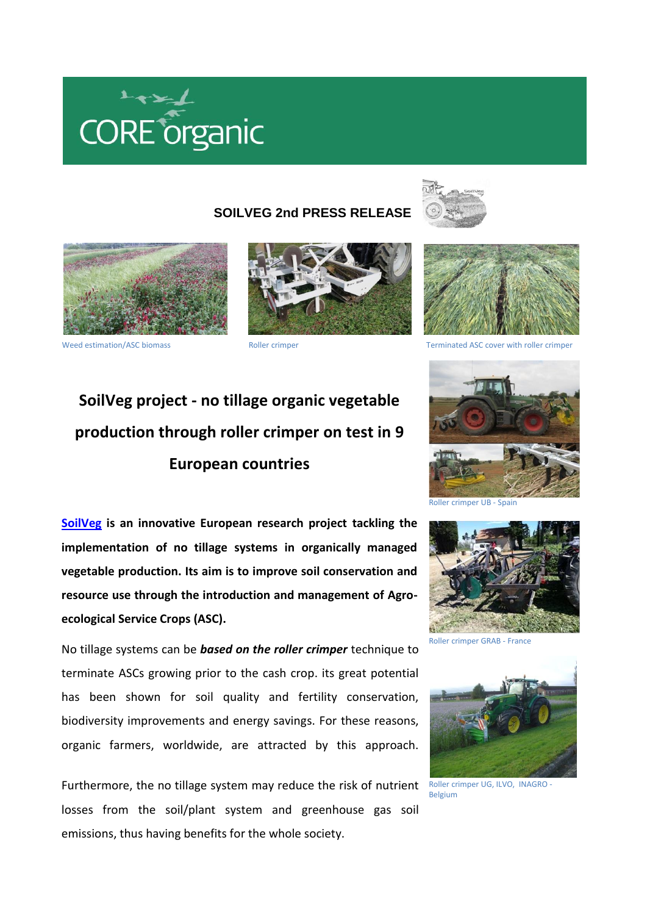

## **SOILVEG 2nd PRESS RELEASE**









Weed estimation/ASC biomass Terminated ASC cover with roller crimper Terminated ASC cover with roller crimper

## **SoilVeg project - no tillage organic vegetable production through roller crimper on test in 9 European countries**

**[SoilVeg](http://www.coreorganicplus.org/soilveg) is an innovative European research project tackling the implementation of no tillage systems in organically managed vegetable production. Its aim is to improve soil conservation and resource use through the introduction and management of Agroecological Service Crops (ASC).** 

No tillage systems can be *based on the roller crimper* technique to terminate ASCs growing prior to the cash crop. its great potential has been shown for soil quality and fertility conservation, biodiversity improvements and energy savings. For these reasons, organic farmers, worldwide, are attracted by this approach.

Furthermore, the no tillage system may reduce the risk of nutrient Roller crimper UG, ILVO, INAGRO losses from the soil/plant system and greenhouse gas soil emissions, thus having benefits for the whole society.





Roller crimper GRAB - France



Belgium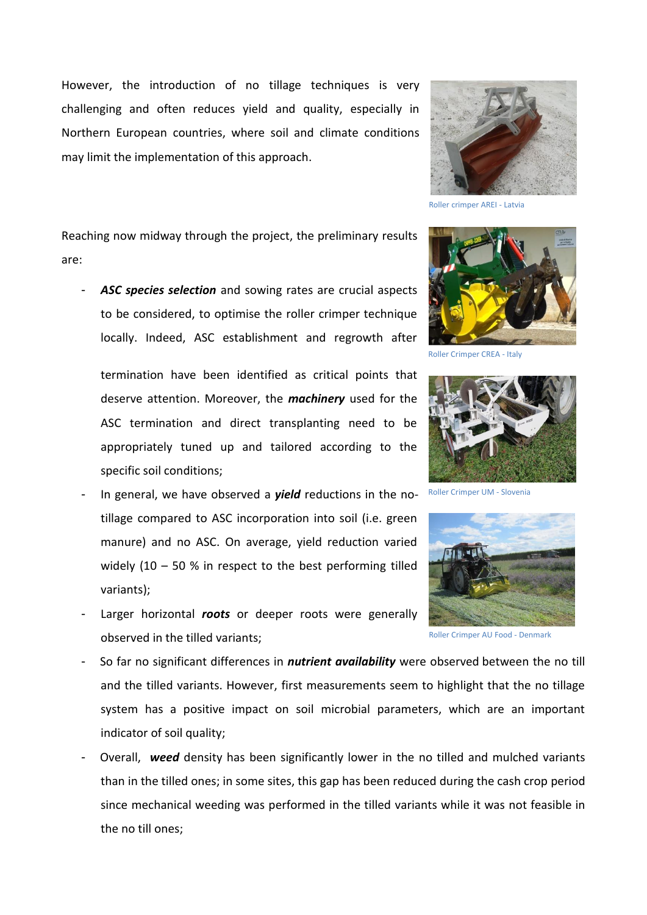However, the introduction of no tillage techniques is very challenging and often reduces yield and quality, especially in Northern European countries, where soil and climate conditions may limit the implementation of this approach.



Roller crimper AREI - Latvia

Reaching now midway through the project, the preliminary results are:

- *ASC species selection* and sowing rates are crucial aspects to be considered, to optimise the roller crimper technique locally. Indeed, ASC establishment and regrowth after

termination have been identified as critical points that deserve attention. Moreover, the *machinery* used for the ASC termination and direct transplanting need to be appropriately tuned up and tailored according to the specific soil conditions;

- In general, we have observed a *yield* reductions in the notillage compared to ASC incorporation into soil (i.e. green manure) and no ASC. On average, yield reduction varied widely (10 – 50 % in respect to the best performing tilled variants);
- Larger horizontal *roots* or deeper roots were generally observed in the tilled variants;



Roller Crimper CREA - Italy



Roller Crimper UM - Slovenia



Roller Crimper AU Food - Denmark

- So far no significant differences in *nutrient availability* were observed between the no till and the tilled variants. However, first measurements seem to highlight that the no tillage system has a positive impact on soil microbial parameters, which are an important indicator of soil quality;
- Overall, *weed* density has been significantly lower in the no tilled and mulched variants than in the tilled ones; in some sites, this gap has been reduced during the cash crop period since mechanical weeding was performed in the tilled variants while it was not feasible in the no till ones;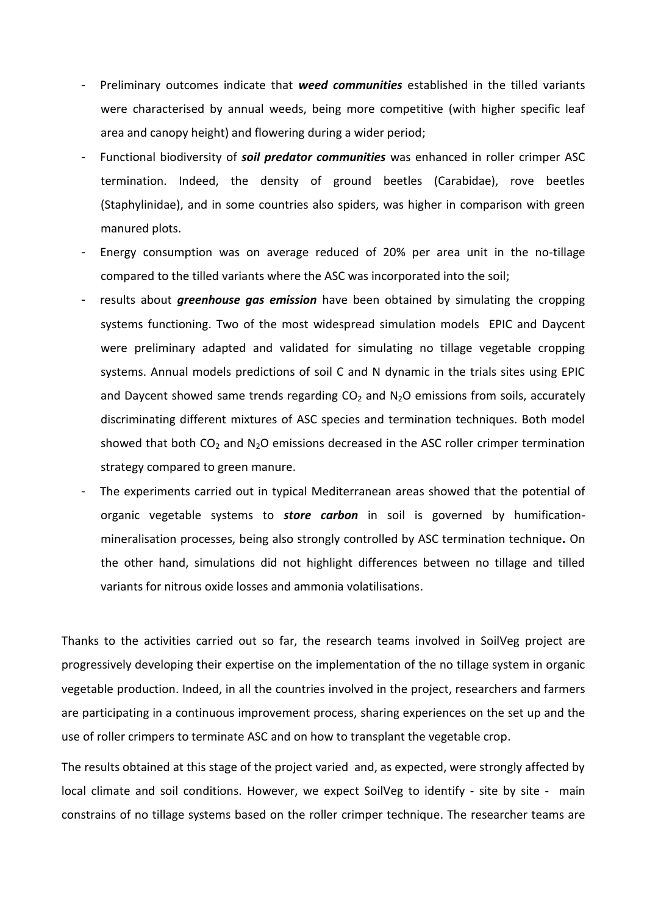- Preliminary outcomes indicate that *weed communities* established in the tilled variants were characterised by annual weeds, being more competitive (with higher specific leaf area and canopy height) and flowering during a wider period;
- Functional biodiversity of *soil predator communities* was enhanced in roller crimper ASC termination. Indeed, the density of ground beetles (Carabidae), rove beetles (Staphylinidae), and in some countries also spiders, was higher in comparison with green manured plots.
- Energy consumption was on average reduced of 20% per area unit in the no-tillage compared to the tilled variants where the ASC was incorporated into the soil;
- results about *greenhouse gas emission* have been obtained by simulating the cropping systems functioning. Two of the most widespread simulation models EPIC and Daycent were preliminary adapted and validated for simulating no tillage vegetable cropping systems. Annual models predictions of soil C and N dynamic in the trials sites using EPIC and Daycent showed same trends regarding  $CO<sub>2</sub>$  and N<sub>2</sub>O emissions from soils, accurately discriminating different mixtures of ASC species and termination techniques. Both model showed that both  $CO<sub>2</sub>$  and N<sub>2</sub>O emissions decreased in the ASC roller crimper termination strategy compared to green manure.
- The experiments carried out in typical Mediterranean areas showed that the potential of organic vegetable systems to *store carbon* in soil is governed by humificationmineralisation processes, being also strongly controlled by ASC termination technique*.* On the other hand, simulations did not highlight differences between no tillage and tilled variants for nitrous oxide losses and ammonia volatilisations.

Thanks to the activities carried out so far, the research teams involved in SoilVeg project are progressively developing their expertise on the implementation of the no tillage system in organic vegetable production. Indeed, in all the countries involved in the project, researchers and farmers are participating in a continuous improvement process, sharing experiences on the set up and the use of roller crimpers to terminate ASC and on how to transplant the vegetable crop.

The results obtained at this stage of the project varied and, as expected, were strongly affected by local climate and soil conditions. However, we expect SoilVeg to identify - site by site - main constrains of no tillage systems based on the roller crimper technique. The researcher teams are